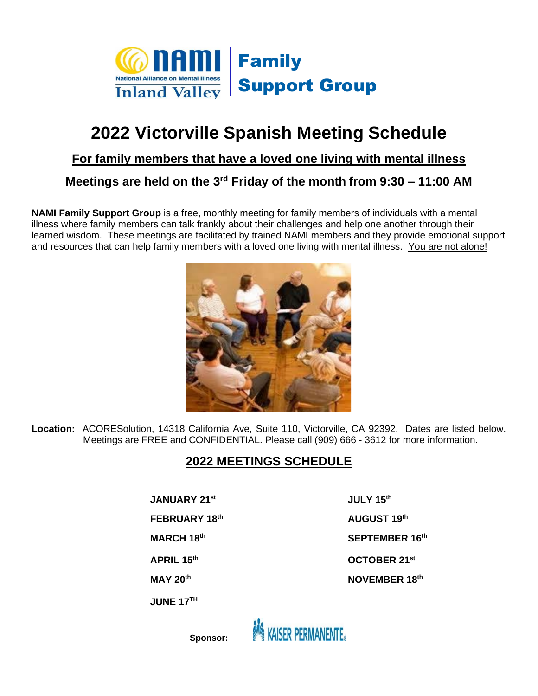

# **2022 Victorville Spanish Meeting Schedule**

### **For family members that have a loved one living with mental illness**

# **Meetings are held on the 3<sup>rd</sup> Friday of the month from 9:30 – 11:00 AM**

**NAMI Family Support Group** is a free, monthly meeting for family members of individuals with a mental illness where family members can talk frankly about their challenges and help one another through their learned wisdom. These meetings are facilitated by trained NAMI members and they provide emotional support and resources that can help family members with a loved one living with mental illness. You are not alone!



**Location:** ACORESolution, 14318 California Ave, Suite 110, Victorville, CA 92392. Dates are listed below. Meetings are FREE and CONFIDENTIAL. Please call (909) 666 - 3612 for more information.

## **2022 MEETINGS SCHEDULE**

**JANUARY 21st JULY 15th**

**FEBRUARY 18**

**MARCH 18**

**JUNE 17TH** 

**th AUGUST 19 th th SEPTEMBER 16th APRIL 15th OCTOBER 21st MAY 20th NOVEMBER 18 th**